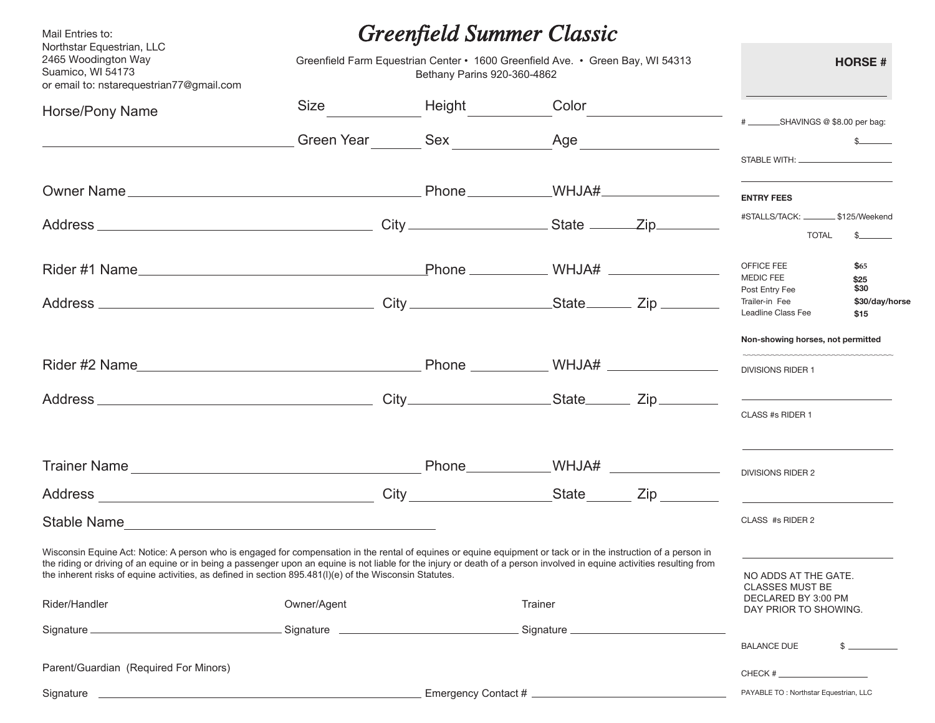| Mail Entries to:<br>Northstar Equestrian, LLC<br>2465 Woodington Way<br>Suamico, WI 54173<br>or email to: nstarequestrian77@gmail.com                                                                                                                                                                                                                                                                                                                                    | Greenfield Summer Classic<br>Greenfield Farm Equestrian Center • 1600 Greenfield Ave. • Green Bay, WI 54313<br>Bethany Parins 920-360-4862 |  |                |                                           |     | <b>HORSE#</b>                                                         |                                |
|--------------------------------------------------------------------------------------------------------------------------------------------------------------------------------------------------------------------------------------------------------------------------------------------------------------------------------------------------------------------------------------------------------------------------------------------------------------------------|--------------------------------------------------------------------------------------------------------------------------------------------|--|----------------|-------------------------------------------|-----|-----------------------------------------------------------------------|--------------------------------|
| Horse/Pony Name                                                                                                                                                                                                                                                                                                                                                                                                                                                          |                                                                                                                                            |  | Size Height    | Color                                     |     |                                                                       |                                |
|                                                                                                                                                                                                                                                                                                                                                                                                                                                                          |                                                                                                                                            |  | Green Year Sex |                                           | Age | # _________SHAVINGS @ \$8.00 per bag:                                 |                                |
|                                                                                                                                                                                                                                                                                                                                                                                                                                                                          |                                                                                                                                            |  |                |                                           |     |                                                                       |                                |
|                                                                                                                                                                                                                                                                                                                                                                                                                                                                          |                                                                                                                                            |  |                |                                           |     | <b>ENTRY FEES</b>                                                     |                                |
|                                                                                                                                                                                                                                                                                                                                                                                                                                                                          |                                                                                                                                            |  |                |                                           |     | #STALLS/TACK: _________ \$125/Weekend<br><b>TOTAL</b>                 | s                              |
|                                                                                                                                                                                                                                                                                                                                                                                                                                                                          |                                                                                                                                            |  |                |                                           |     | OFFICE FEE<br><b>MEDIC FEE</b>                                        | \$65<br>\$25                   |
|                                                                                                                                                                                                                                                                                                                                                                                                                                                                          |                                                                                                                                            |  |                |                                           |     | Post Entry Fee<br>Trailer-in Fee<br>Leadline Class Fee                | \$30<br>\$30/day/horse<br>\$15 |
|                                                                                                                                                                                                                                                                                                                                                                                                                                                                          |                                                                                                                                            |  |                |                                           |     | Non-showing horses, not permitted<br><b>DIVISIONS RIDER 1</b>         |                                |
|                                                                                                                                                                                                                                                                                                                                                                                                                                                                          |                                                                                                                                            |  |                |                                           |     | CLASS #s RIDER 1                                                      |                                |
|                                                                                                                                                                                                                                                                                                                                                                                                                                                                          |                                                                                                                                            |  |                | Phone______________WHJA# ________________ |     | DIVISIONS RIDER 2                                                     |                                |
|                                                                                                                                                                                                                                                                                                                                                                                                                                                                          |                                                                                                                                            |  |                |                                           |     |                                                                       |                                |
| Stable Name                                                                                                                                                                                                                                                                                                                                                                                                                                                              |                                                                                                                                            |  |                |                                           |     | CLASS #s RIDER 2                                                      |                                |
| Wisconsin Equine Act: Notice: A person who is engaged for compensation in the rental of equines or equine equipment or tack or in the instruction of a person in<br>the riding or driving of an equine or in being a passenger upon an equine is not liable for the injury or death of a person involved in equine activities resulting from<br>the inherent risks of equine activities, as defined in section 895.481(I)(e) of the Wisconsin Statutes.<br>Rider/Handler | Owner/Agent                                                                                                                                |  |                | Trainer                                   |     | NO ADDS AT THE GATE.<br><b>CLASSES MUST BE</b><br>DECLARED BY 3:00 PM |                                |
|                                                                                                                                                                                                                                                                                                                                                                                                                                                                          |                                                                                                                                            |  |                |                                           |     | DAY PRIOR TO SHOWING.                                                 |                                |
|                                                                                                                                                                                                                                                                                                                                                                                                                                                                          |                                                                                                                                            |  |                |                                           |     | <b>BALANCE DUE</b>                                                    | $$$ $$$                        |
| Parent/Guardian (Required For Minors)                                                                                                                                                                                                                                                                                                                                                                                                                                    |                                                                                                                                            |  |                |                                           |     | CHECK #                                                               |                                |
|                                                                                                                                                                                                                                                                                                                                                                                                                                                                          |                                                                                                                                            |  |                |                                           |     | PAYABLE TO: Northstar Equestrian, LLC                                 |                                |